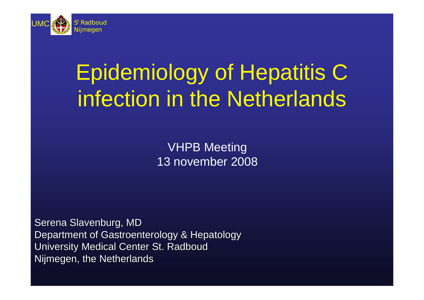

# Epidemiology of Hepatitis C infection in the Netherlands

VHPB Meeting 13 november 2008

Serena Slavenburg, MD Department of Gastroenterology & Hepatology University Medical Center St. Radboud Nijmegen, the Netherlands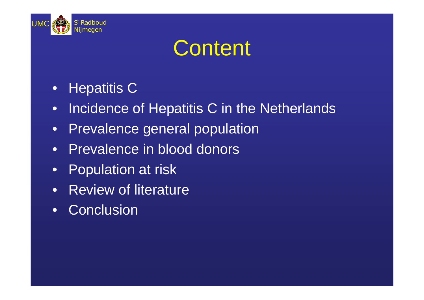

### **Content**

- Hepatitis C
- Incidence of Hepatitis C in the Netherlands
- Prevalence general population
- Prevalence in blood donors
- Population at risk
- Review of literature
- Conclusion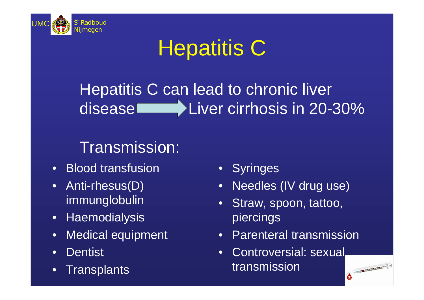

## **Hepatitis C**

#### Hepatitis C can lead to chronic liver disease Liver cirrhosis in 20-30%

#### Transmission:

- Blood transfusion
- Anti-rhesus(D) immunglobulin
- Haemodialysis
- Medical equipment
- Dentist
- Transplants
- Syringes
- Needles (IV drug use)
- Straw, spoon, tattoo, piercings
- Parenteral transmission
- Controversial: sexual transmission

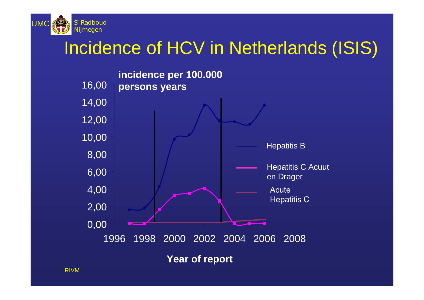

#### Incidence of HCV in Netherlands (ISIS)

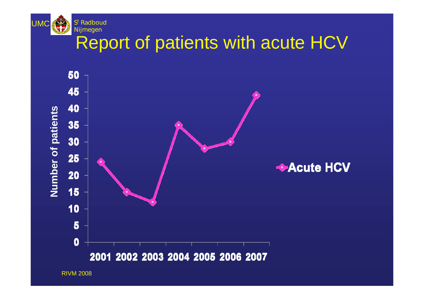

#### Report of patients with acute HCV



RIVM 2008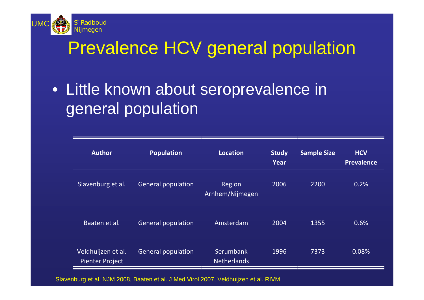

#### Prevalence HCV general population

• Little known about seroprevalence in general population

| <b>Author</b>                                | <b>Population</b>         | <b>Location</b>                 | <b>Study</b><br>Year | <b>Sample Size</b> | <b>HCV</b><br><b>Prevalence</b> |
|----------------------------------------------|---------------------------|---------------------------------|----------------------|--------------------|---------------------------------|
| Slavenburg et al.                            | <b>General population</b> | Region<br>Arnhem/Nijmegen       | 2006                 | 2200               | 0.2%                            |
| Baaten et al.                                | <b>General population</b> | Amsterdam                       | 2004                 | 1355               | 0.6%                            |
| Veldhuijzen et al.<br><b>Pienter Project</b> | <b>General population</b> | Serumbank<br><b>Netherlands</b> | 1996                 | 7373               | 0.08%                           |

Slavenburg et al. NJM 2008, Baaten et al. J Med Virol 2007, Veldhuijzen et al. RIVM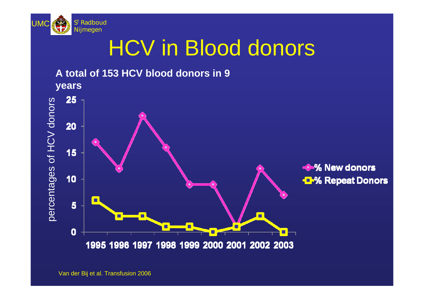

### HCV in Blood donors



Van der Bij et al. Transfusion 2006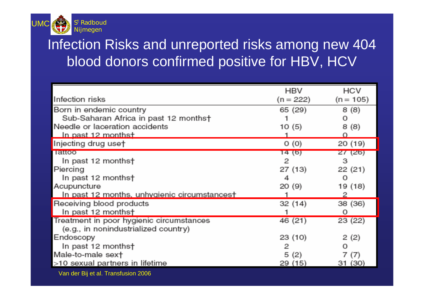

#### Infection Risks and unreported risks among new 404 blood donors confirmed positive for HBV, HCV

|                                                                                          | <b>HBV</b>  | <b>HCV</b>  |
|------------------------------------------------------------------------------------------|-------------|-------------|
| Infection risks                                                                          | $(n = 222)$ | $(n = 105)$ |
| Born in endemic country                                                                  | 65 (29)     | 8(8)        |
| Sub-Saharan Africa in past 12 months†                                                    |             | О           |
| Needle or laceration accidents                                                           | 10(5)       | 8 (8)       |
| <u>In past 12 months†</u>                                                                |             |             |
| Injecting drug uset                                                                      | O(0)        | 20 (19)     |
| <b>Tauoo</b>                                                                             | 14 (6)      | 27(26)      |
| In past 12 months†                                                                       | 2           | з           |
| Piercing                                                                                 | 27(13)      | 22 (21)     |
| In past 12 months†                                                                       | 4           | O           |
| Acupuncture                                                                              | 20(9)       | 19 (18)     |
| In past 12 months, unhygienic circumstances†                                             |             |             |
| Receiving blood products                                                                 | 32(14)      | 38 (36)     |
| In past 12 months†                                                                       |             | Ο           |
| Treatment in poor hygienic circumstances                                                 | 46 (21)     | 23 (22)     |
| (e.g., in nonindustrialized country)                                                     |             |             |
| Endoscopy                                                                                | 23(10)      | 2(2)        |
| In past 12 months†                                                                       | 2           |             |
| Male-to-male sext                                                                        | 5(2)        | 7 (7)       |
| >10 sexual partners in lifetime                                                          | 29 (15)     | 31 (30)     |
| $\mathbf{v}$ in $\mathbf{v}$ is $\mathbf{v}$ in $\mathbf{v}$ in $\mathbf{v}$ is a second |             |             |

Van der Bij et al. Transfusion 2006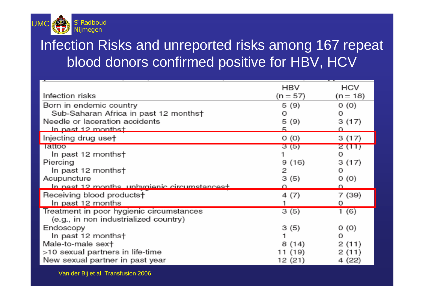

#### Infection Risks and unreported risks among 167 repeat blood donors confirmed positive for HBV, HCV

| Infection risks                                     | HBV<br>$(n = 57)$ | <b>HCV</b><br>$(n = 18)$ |
|-----------------------------------------------------|-------------------|--------------------------|
| Born in endemic country                             | 5(9)              | O(0)                     |
| Sub-Saharan Africa in past 12 months†               | О                 | Ω                        |
| Needle or laceration accidents                      | 5(9)              | 3(17)                    |
| <u>In nast 12 monthst.</u>                          |                   |                          |
| Injecting drug use†                                 | O(0)              | 3(17)                    |
| lattoo                                              | 3(5)              | 2 (11)                   |
| In past 12 months†                                  |                   | ο                        |
| Piercing                                            | 9(16)             | 3(17)                    |
| In past 12 months†                                  | 2                 | о                        |
| Acupuncture                                         | 3(5)              | 0(0)                     |
| <u>In past 12 months, unhvoienic circumstancest</u> |                   |                          |
| Receiving blood products†                           | 4(7)              | 7 (39)                   |
| In past 12 months                                   |                   | 0                        |
| Treatment in poor hygienic circumstances            | 3(5)              | 1 (6)                    |
| (e.g., in non industrialized country)               |                   |                          |
| Endoscopy                                           | 3(5)              | 0(0)                     |
| In past 12 months†                                  | 1                 | О                        |
| Male-to-male sext                                   | 8(14)             | 2(11)                    |
| >10 sexual partners in life-time                    | 11 (19)           | 2(11)                    |
| New sexual partner in past year                     | 12 (21)           | 4 (22)                   |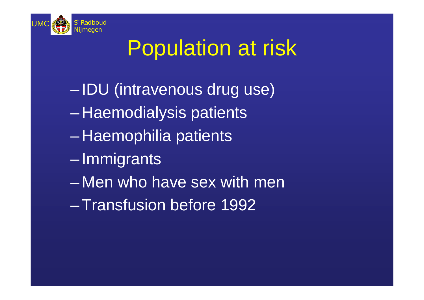

# Population at risk

- IDU (intravenous drug use)
- $\mathcal{L}_{\mathcal{A}}$ Haemodialysis patients
- $\mathcal{L}_{\mathcal{A}}$ Haemophilia patients
- Immigrants
- Men who have sex with men
- –Transfusion before 1992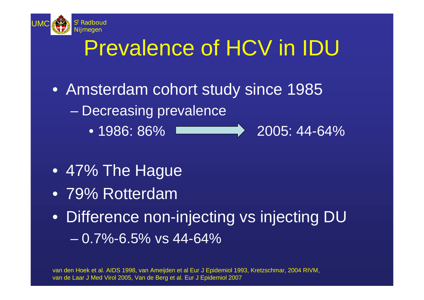

# Prevalence of HCV in IDU

- Amsterdam cohort study since 1985
	- Decreasing prevalence
		-

• 1986: 86% **2005: 44-64%** 

- 47% The Hague
- 79% Rotterdam
- Difference non-injecting vs injecting DU  $-0.7\%$ -6.5% vs 44-64%

van den Hoek et al. AIDS 1998, van Ameijden et al Eur J Epidemiol 1993, Kretzschmar, 2004 RIVM, van de Laar J Med Virol 2005, Van de Berg et al. Eur J Epidemiol 2007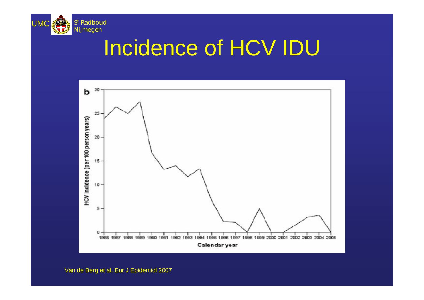

#### Incidence of HCV IDU

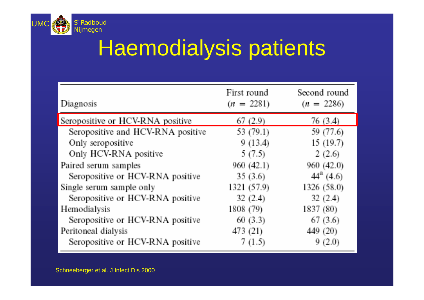

## Haemodialysis patients

| Diagnosis                         | First round<br>$(n = 2281)$ | Second round<br>$(n = 2286)$ |
|-----------------------------------|-----------------------------|------------------------------|
| Seropositive or HCV-RNA positive  | 67(2.9)                     | 76 (3.4)                     |
| Seropositive and HCV-RNA positive | 53 (79.1)                   | 59 (77.6)                    |
| Only seropositive                 | 9(13.4)                     | 15(19.7)                     |
| Only HCV-RNA positive             | 5(7.5)                      | 2(2.6)                       |
| Paired serum samples              | 960(42.1)                   | 960 (42.0)                   |
| Seropositive or HCV-RNA positive  | 35(3.6)                     | $44^a$ (4.6)                 |
| Single serum sample only          | 1321 (57.9)                 | 1326 (58.0)                  |
| Seropositive or HCV-RNA positive  | 32(2.4)                     | 32(2.4)                      |
| Hemodialysis                      | 1808 (79)                   | 1837 (80)                    |
| Seropositive or HCV-RNA positive  | 60(3.3)                     | 67(3.6)                      |
| Peritoneal dialysis               | 473 (21)                    | 449 (20)                     |
| Seropositive or HCV-RNA positive  | 7(1.5)                      | 9(2.0)                       |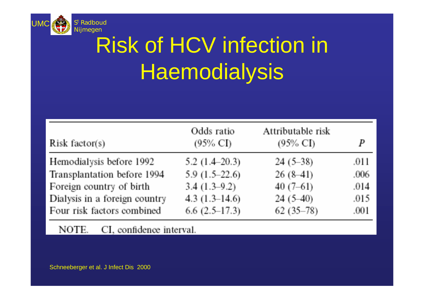

# Risk of HCV infection in **Haemodialysis**

| Risk factor(s)                | Odds ratio<br>$(95\% \text{ CI})$ | Attributable risk<br>$(95\% \text{ CI})$ | P    |
|-------------------------------|-----------------------------------|------------------------------------------|------|
| Hemodialysis before 1992      | 5.2 $(1.4-20.3)$                  | $24(5-38)$                               | .011 |
| Transplantation before 1994   | 5.9 $(1.5-22.6)$                  | $26(8-41)$                               | .006 |
| Foreign country of birth      | $3.4(1.3-9.2)$                    | $40(7-61)$                               | .014 |
| Dialysis in a foreign country | 4.3 $(1.3-14.6)$                  | $24(5-40)$                               | .015 |
| Four risk factors combined    | $6.6(2.5-17.3)$                   | $62(35-78)$                              | .001 |

CI, confidence interval. NOTE.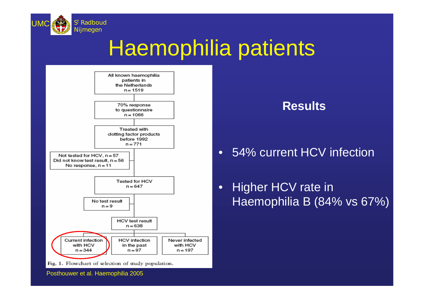

## Haemophilia patients



Fig. 1. Flowchart of selection of study population.

**Results**

#### • 54% current HCV infection

• Higher HCV rate in Haemophilia B (84% vs 67%)

Posthouwer et al. Haemophilia 2005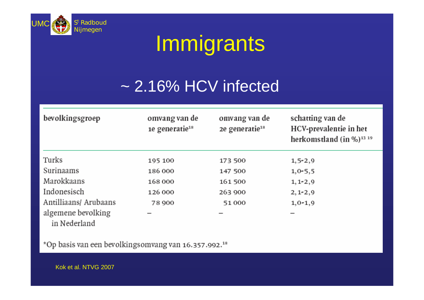

## Immigrants

#### ~ 2.16% HCV infected

| bevolkingsgroep                    | omvang van de<br>1e generatie <sup>18</sup> | omvang van de<br>2e generatie <sup>18</sup> | schatting van de<br>HCV-prevalentie in het<br>herkomstland $(in \%)$ <sup>13 19</sup> |
|------------------------------------|---------------------------------------------|---------------------------------------------|---------------------------------------------------------------------------------------|
| Turks                              | 195 100                                     | 173 500                                     | $1, 5 - 2, 9$                                                                         |
| Surinaams                          | 186 000                                     | 147 500                                     | $1,0-5,5$                                                                             |
| Marokkaans                         | 168000                                      | 161 500                                     | $1, 1 - 2, 9$                                                                         |
| Indonesisch                        | 126 000                                     | 263 900                                     | $2, 1 - 2, 9$                                                                         |
| Antilliaans/ Arubaans              | 78 900                                      | 51000                                       | $1, 0-1, 9$                                                                           |
| algemene bevolking<br>in Nederland |                                             |                                             |                                                                                       |

\*Op basis van een bevolkingsomvang van 16.357.992.<sup>18</sup>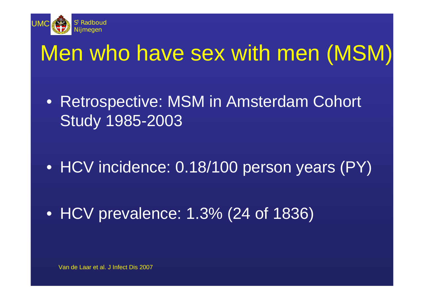

#### Men who have sex with men (MSM)

• Retrospective: MSM in Amsterdam Cohort Study 1985-2003

• HCV incidence: 0.18/100 person years (PY)

• HCV prevalence: 1.3% (24 of 1836)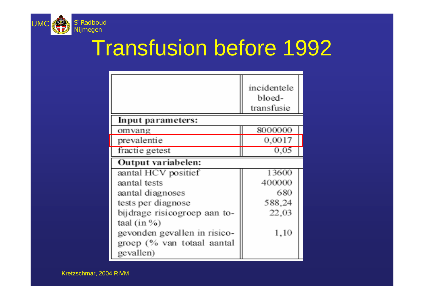

### Transfusion before 1992

|                              | incidentele<br>bloed-<br>transfusie |
|------------------------------|-------------------------------------|
| Input parameters:            |                                     |
| omvang                       | 8000000                             |
| prevalentie                  | 0,0017                              |
| fractie getest               | 0.05                                |
| Output variabelen:           |                                     |
| aantal HCV positief          | 13600                               |
| aantal tests                 | 400000                              |
| aantal diagnoses             | 680                                 |
| tests per diagnose           | 588,24                              |
| bijdrage risicogroep aan to- | 22,03                               |
| taal $(in %)$                |                                     |
| gevonden gevallen in risico- | 1,10                                |
| groep (% van totaal aantal   |                                     |
| gevallen)                    |                                     |